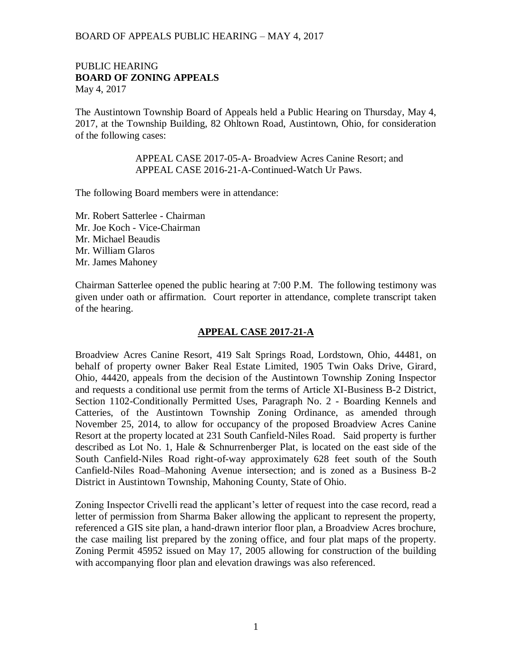### PUBLIC HEARING **BOARD OF ZONING APPEALS**  May 4, 2017

The Austintown Township Board of Appeals held a Public Hearing on Thursday, May 4, 2017, at the Township Building, 82 Ohltown Road, Austintown, Ohio, for consideration of the following cases:

> APPEAL CASE 2017-05-A- Broadview Acres Canine Resort; and APPEAL CASE 2016-21-A-Continued-Watch Ur Paws.

The following Board members were in attendance:

Mr. Robert Satterlee - Chairman Mr. Joe Koch - Vice-Chairman Mr. Michael Beaudis Mr. William Glaros Mr. James Mahoney

Chairman Satterlee opened the public hearing at 7:00 P.M. The following testimony was given under oath or affirmation. Court reporter in attendance, complete transcript taken of the hearing.

### **APPEAL CASE 2017-21-A**

Broadview Acres Canine Resort, 419 Salt Springs Road, Lordstown, Ohio, 44481, on behalf of property owner Baker Real Estate Limited, 1905 Twin Oaks Drive, Girard, Ohio, 44420, appeals from the decision of the Austintown Township Zoning Inspector and requests a conditional use permit from the terms of Article XI-Business B-2 District, Section 1102-Conditionally Permitted Uses, Paragraph No. 2 - Boarding Kennels and Catteries, of the Austintown Township Zoning Ordinance, as amended through November 25, 2014, to allow for occupancy of the proposed Broadview Acres Canine Resort at the property located at 231 South Canfield-Niles Road. Said property is further described as Lot No. 1, Hale & Schnurrenberger Plat, is located on the east side of the South Canfield-Niles Road right-of-way approximately 628 feet south of the South Canfield-Niles Road–Mahoning Avenue intersection; and is zoned as a Business B-2 District in Austintown Township, Mahoning County, State of Ohio.

Zoning Inspector Crivelli read the applicant's letter of request into the case record, read a letter of permission from Sharma Baker allowing the applicant to represent the property, referenced a GIS site plan, a hand-drawn interior floor plan, a Broadview Acres brochure, the case mailing list prepared by the zoning office, and four plat maps of the property. Zoning Permit 45952 issued on May 17, 2005 allowing for construction of the building with accompanying floor plan and elevation drawings was also referenced.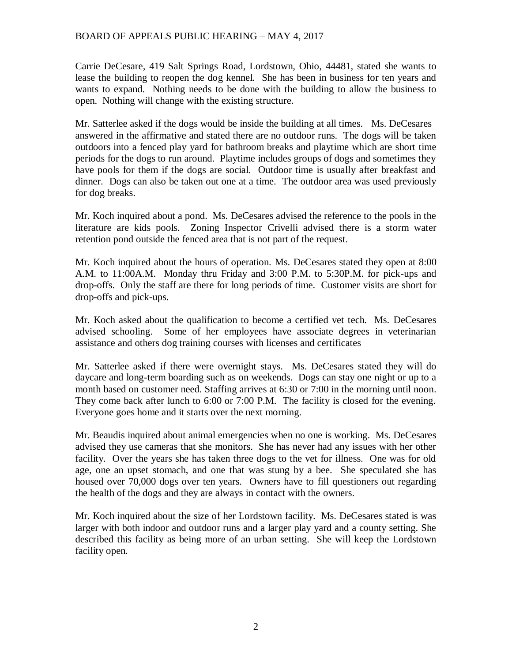Carrie DeCesare, 419 Salt Springs Road, Lordstown, Ohio, 44481, stated she wants to lease the building to reopen the dog kennel. She has been in business for ten years and wants to expand. Nothing needs to be done with the building to allow the business to open. Nothing will change with the existing structure.

Mr. Satterlee asked if the dogs would be inside the building at all times. Ms. DeCesares answered in the affirmative and stated there are no outdoor runs. The dogs will be taken outdoors into a fenced play yard for bathroom breaks and playtime which are short time periods for the dogs to run around. Playtime includes groups of dogs and sometimes they have pools for them if the dogs are social. Outdoor time is usually after breakfast and dinner. Dogs can also be taken out one at a time. The outdoor area was used previously for dog breaks.

Mr. Koch inquired about a pond. Ms. DeCesares advised the reference to the pools in the literature are kids pools. Zoning Inspector Crivelli advised there is a storm water retention pond outside the fenced area that is not part of the request.

Mr. Koch inquired about the hours of operation. Ms. DeCesares stated they open at 8:00 A.M. to 11:00A.M. Monday thru Friday and 3:00 P.M. to 5:30P.M. for pick-ups and drop-offs. Only the staff are there for long periods of time. Customer visits are short for drop-offs and pick-ups.

Mr. Koch asked about the qualification to become a certified vet tech. Ms. DeCesares advised schooling. Some of her employees have associate degrees in veterinarian assistance and others dog training courses with licenses and certificates

Mr. Satterlee asked if there were overnight stays. Ms. DeCesares stated they will do daycare and long-term boarding such as on weekends. Dogs can stay one night or up to a month based on customer need. Staffing arrives at 6:30 or 7:00 in the morning until noon. They come back after lunch to 6:00 or 7:00 P.M. The facility is closed for the evening. Everyone goes home and it starts over the next morning.

Mr. Beaudis inquired about animal emergencies when no one is working. Ms. DeCesares advised they use cameras that she monitors. She has never had any issues with her other facility. Over the years she has taken three dogs to the vet for illness. One was for old age, one an upset stomach, and one that was stung by a bee. She speculated she has housed over 70,000 dogs over ten years. Owners have to fill questioners out regarding the health of the dogs and they are always in contact with the owners.

Mr. Koch inquired about the size of her Lordstown facility. Ms. DeCesares stated is was larger with both indoor and outdoor runs and a larger play yard and a county setting. She described this facility as being more of an urban setting. She will keep the Lordstown facility open.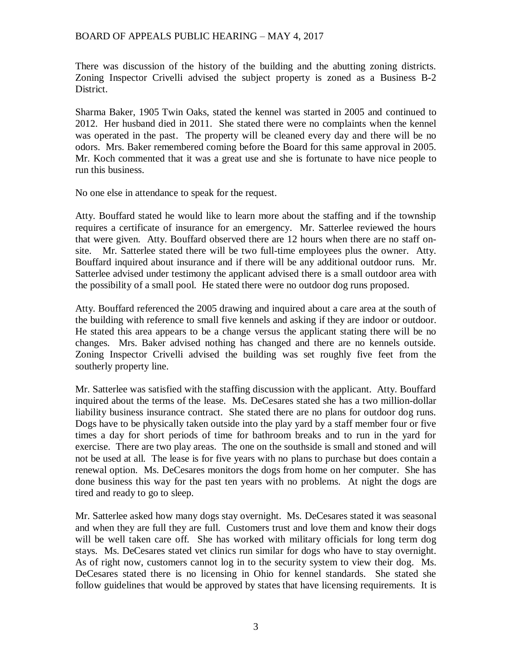There was discussion of the history of the building and the abutting zoning districts. Zoning Inspector Crivelli advised the subject property is zoned as a Business B-2 District.

Sharma Baker, 1905 Twin Oaks, stated the kennel was started in 2005 and continued to 2012. Her husband died in 2011. She stated there were no complaints when the kennel was operated in the past. The property will be cleaned every day and there will be no odors. Mrs. Baker remembered coming before the Board for this same approval in 2005. Mr. Koch commented that it was a great use and she is fortunate to have nice people to run this business.

No one else in attendance to speak for the request.

Atty. Bouffard stated he would like to learn more about the staffing and if the township requires a certificate of insurance for an emergency. Mr. Satterlee reviewed the hours that were given. Atty. Bouffard observed there are 12 hours when there are no staff onsite. Mr. Satterlee stated there will be two full-time employees plus the owner. Atty. Bouffard inquired about insurance and if there will be any additional outdoor runs. Mr. Satterlee advised under testimony the applicant advised there is a small outdoor area with the possibility of a small pool. He stated there were no outdoor dog runs proposed.

Atty. Bouffard referenced the 2005 drawing and inquired about a care area at the south of the building with reference to small five kennels and asking if they are indoor or outdoor. He stated this area appears to be a change versus the applicant stating there will be no changes. Mrs. Baker advised nothing has changed and there are no kennels outside. Zoning Inspector Crivelli advised the building was set roughly five feet from the southerly property line.

Mr. Satterlee was satisfied with the staffing discussion with the applicant. Atty. Bouffard inquired about the terms of the lease. Ms. DeCesares stated she has a two million-dollar liability business insurance contract. She stated there are no plans for outdoor dog runs. Dogs have to be physically taken outside into the play yard by a staff member four or five times a day for short periods of time for bathroom breaks and to run in the yard for exercise. There are two play areas. The one on the southside is small and stoned and will not be used at all. The lease is for five years with no plans to purchase but does contain a renewal option. Ms. DeCesares monitors the dogs from home on her computer. She has done business this way for the past ten years with no problems. At night the dogs are tired and ready to go to sleep.

Mr. Satterlee asked how many dogs stay overnight. Ms. DeCesares stated it was seasonal and when they are full they are full. Customers trust and love them and know their dogs will be well taken care off. She has worked with military officials for long term dog stays. Ms. DeCesares stated vet clinics run similar for dogs who have to stay overnight. As of right now, customers cannot log in to the security system to view their dog. Ms. DeCesares stated there is no licensing in Ohio for kennel standards. She stated she follow guidelines that would be approved by states that have licensing requirements. It is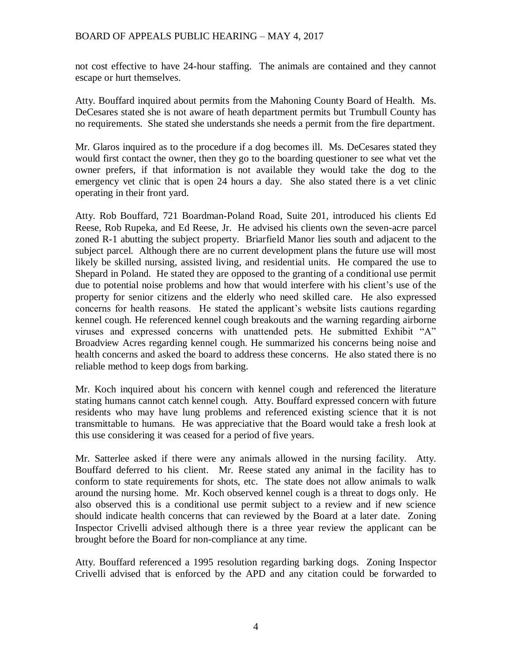not cost effective to have 24-hour staffing. The animals are contained and they cannot escape or hurt themselves.

Atty. Bouffard inquired about permits from the Mahoning County Board of Health. Ms. DeCesares stated she is not aware of heath department permits but Trumbull County has no requirements. She stated she understands she needs a permit from the fire department.

Mr. Glaros inquired as to the procedure if a dog becomes ill. Ms. DeCesares stated they would first contact the owner, then they go to the boarding questioner to see what vet the owner prefers, if that information is not available they would take the dog to the emergency vet clinic that is open 24 hours a day. She also stated there is a vet clinic operating in their front yard.

Atty. Rob Bouffard, 721 Boardman-Poland Road, Suite 201, introduced his clients Ed Reese, Rob Rupeka, and Ed Reese, Jr. He advised his clients own the seven-acre parcel zoned R-1 abutting the subject property. Briarfield Manor lies south and adjacent to the subject parcel. Although there are no current development plans the future use will most likely be skilled nursing, assisted living, and residential units. He compared the use to Shepard in Poland. He stated they are opposed to the granting of a conditional use permit due to potential noise problems and how that would interfere with his client's use of the property for senior citizens and the elderly who need skilled care. He also expressed concerns for health reasons. He stated the applicant's website lists cautions regarding kennel cough. He referenced kennel cough breakouts and the warning regarding airborne viruses and expressed concerns with unattended pets. He submitted Exhibit "A" Broadview Acres regarding kennel cough. He summarized his concerns being noise and health concerns and asked the board to address these concerns. He also stated there is no reliable method to keep dogs from barking.

Mr. Koch inquired about his concern with kennel cough and referenced the literature stating humans cannot catch kennel cough. Atty. Bouffard expressed concern with future residents who may have lung problems and referenced existing science that it is not transmittable to humans. He was appreciative that the Board would take a fresh look at this use considering it was ceased for a period of five years.

Mr. Satterlee asked if there were any animals allowed in the nursing facility. Atty. Bouffard deferred to his client. Mr. Reese stated any animal in the facility has to conform to state requirements for shots, etc. The state does not allow animals to walk around the nursing home. Mr. Koch observed kennel cough is a threat to dogs only. He also observed this is a conditional use permit subject to a review and if new science should indicate health concerns that can reviewed by the Board at a later date. Zoning Inspector Crivelli advised although there is a three year review the applicant can be brought before the Board for non-compliance at any time.

Atty. Bouffard referenced a 1995 resolution regarding barking dogs. Zoning Inspector Crivelli advised that is enforced by the APD and any citation could be forwarded to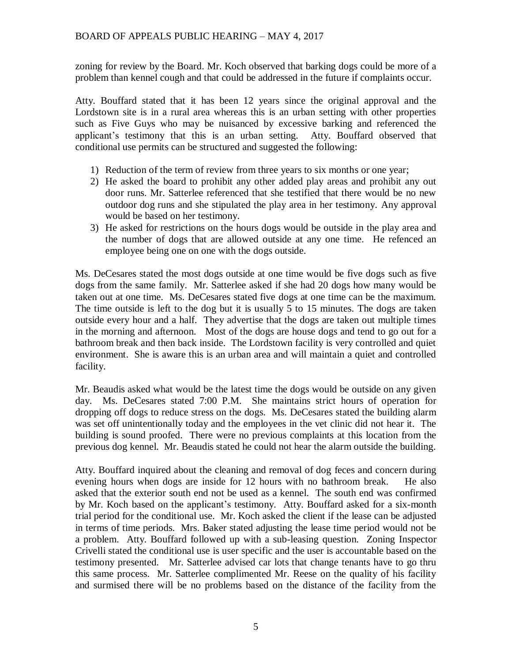zoning for review by the Board. Mr. Koch observed that barking dogs could be more of a problem than kennel cough and that could be addressed in the future if complaints occur.

Atty. Bouffard stated that it has been 12 years since the original approval and the Lordstown site is in a rural area whereas this is an urban setting with other properties such as Five Guys who may be nuisanced by excessive barking and referenced the applicant's testimony that this is an urban setting. Atty. Bouffard observed that conditional use permits can be structured and suggested the following:

- 1) Reduction of the term of review from three years to six months or one year;
- 2) He asked the board to prohibit any other added play areas and prohibit any out door runs. Mr. Satterlee referenced that she testified that there would be no new outdoor dog runs and she stipulated the play area in her testimony. Any approval would be based on her testimony.
- 3) He asked for restrictions on the hours dogs would be outside in the play area and the number of dogs that are allowed outside at any one time. He refenced an employee being one on one with the dogs outside.

Ms. DeCesares stated the most dogs outside at one time would be five dogs such as five dogs from the same family. Mr. Satterlee asked if she had 20 dogs how many would be taken out at one time. Ms. DeCesares stated five dogs at one time can be the maximum. The time outside is left to the dog but it is usually 5 to 15 minutes. The dogs are taken outside every hour and a half. They advertise that the dogs are taken out multiple times in the morning and afternoon. Most of the dogs are house dogs and tend to go out for a bathroom break and then back inside. The Lordstown facility is very controlled and quiet environment. She is aware this is an urban area and will maintain a quiet and controlled facility.

Mr. Beaudis asked what would be the latest time the dogs would be outside on any given day. Ms. DeCesares stated 7:00 P.M. She maintains strict hours of operation for dropping off dogs to reduce stress on the dogs. Ms. DeCesares stated the building alarm was set off unintentionally today and the employees in the vet clinic did not hear it. The building is sound proofed. There were no previous complaints at this location from the previous dog kennel. Mr. Beaudis stated he could not hear the alarm outside the building.

Atty. Bouffard inquired about the cleaning and removal of dog feces and concern during evening hours when dogs are inside for 12 hours with no bathroom break. He also asked that the exterior south end not be used as a kennel. The south end was confirmed by Mr. Koch based on the applicant's testimony. Atty. Bouffard asked for a six-month trial period for the conditional use. Mr. Koch asked the client if the lease can be adjusted in terms of time periods. Mrs. Baker stated adjusting the lease time period would not be a problem. Atty. Bouffard followed up with a sub-leasing question. Zoning Inspector Crivelli stated the conditional use is user specific and the user is accountable based on the testimony presented. Mr. Satterlee advised car lots that change tenants have to go thru this same process. Mr. Satterlee complimented Mr. Reese on the quality of his facility and surmised there will be no problems based on the distance of the facility from the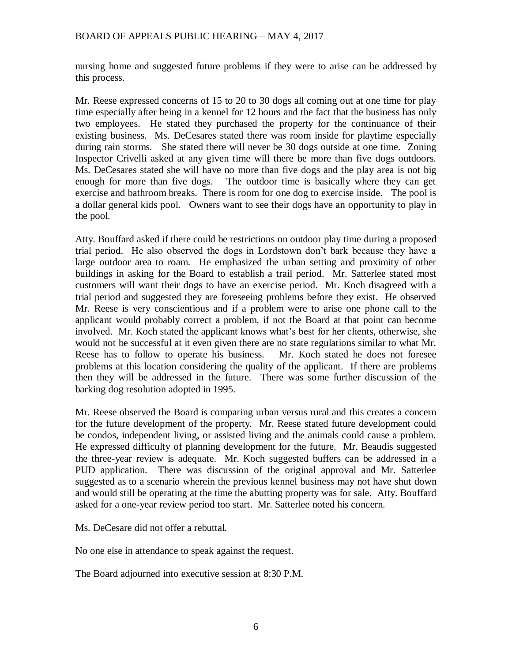nursing home and suggested future problems if they were to arise can be addressed by this process.

Mr. Reese expressed concerns of 15 to 20 to 30 dogs all coming out at one time for play time especially after being in a kennel for 12 hours and the fact that the business has only two employees. He stated they purchased the property for the continuance of their existing business. Ms. DeCesares stated there was room inside for playtime especially during rain storms. She stated there will never be 30 dogs outside at one time. Zoning Inspector Crivelli asked at any given time will there be more than five dogs outdoors. Ms. DeCesares stated she will have no more than five dogs and the play area is not big enough for more than five dogs. The outdoor time is basically where they can get exercise and bathroom breaks. There is room for one dog to exercise inside. The pool is a dollar general kids pool. Owners want to see their dogs have an opportunity to play in the pool.

Atty. Bouffard asked if there could be restrictions on outdoor play time during a proposed trial period. He also observed the dogs in Lordstown don't bark because they have a large outdoor area to roam. He emphasized the urban setting and proximity of other buildings in asking for the Board to establish a trail period. Mr. Satterlee stated most customers will want their dogs to have an exercise period. Mr. Koch disagreed with a trial period and suggested they are foreseeing problems before they exist. He observed Mr. Reese is very conscientious and if a problem were to arise one phone call to the applicant would probably correct a problem, if not the Board at that point can become involved. Mr. Koch stated the applicant knows what's best for her clients, otherwise, she would not be successful at it even given there are no state regulations similar to what Mr. Reese has to follow to operate his business. Mr. Koch stated he does not foresee problems at this location considering the quality of the applicant. If there are problems then they will be addressed in the future. There was some further discussion of the barking dog resolution adopted in 1995.

Mr. Reese observed the Board is comparing urban versus rural and this creates a concern for the future development of the property. Mr. Reese stated future development could be condos, independent living, or assisted living and the animals could cause a problem. He expressed difficulty of planning development for the future. Mr. Beaudis suggested the three-year review is adequate. Mr. Koch suggested buffers can be addressed in a PUD application. There was discussion of the original approval and Mr. Satterlee suggested as to a scenario wherein the previous kennel business may not have shut down and would still be operating at the time the abutting property was for sale. Atty. Bouffard asked for a one-year review period too start. Mr. Satterlee noted his concern.

Ms. DeCesare did not offer a rebuttal.

No one else in attendance to speak against the request.

The Board adjourned into executive session at 8:30 P.M.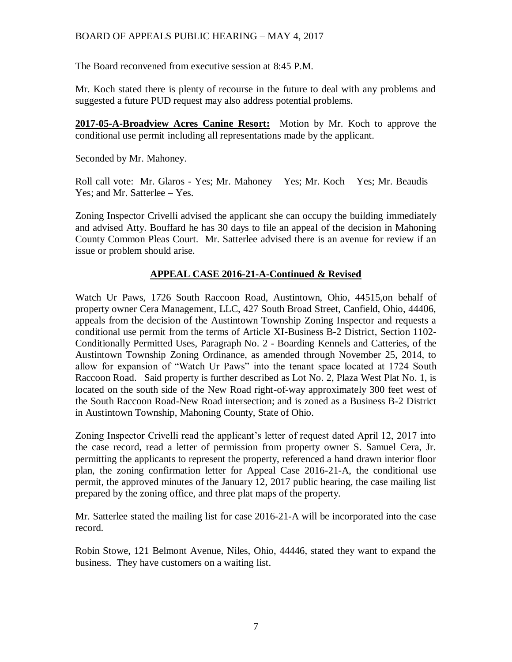The Board reconvened from executive session at 8:45 P.M.

Mr. Koch stated there is plenty of recourse in the future to deal with any problems and suggested a future PUD request may also address potential problems.

**2017-05-A-Broadview Acres Canine Resort:** Motion by Mr. Koch to approve the conditional use permit including all representations made by the applicant.

Seconded by Mr. Mahoney.

Roll call vote: Mr. Glaros - Yes; Mr. Mahoney – Yes; Mr. Koch – Yes; Mr. Beaudis – Yes; and Mr. Satterlee – Yes.

Zoning Inspector Crivelli advised the applicant she can occupy the building immediately and advised Atty. Bouffard he has 30 days to file an appeal of the decision in Mahoning County Common Pleas Court. Mr. Satterlee advised there is an avenue for review if an issue or problem should arise.

### **APPEAL CASE 2016-21-A-Continued & Revised**

Watch Ur Paws, 1726 South Raccoon Road, Austintown, Ohio, 44515,on behalf of property owner Cera Management, LLC, 427 South Broad Street, Canfield, Ohio, 44406, appeals from the decision of the Austintown Township Zoning Inspector and requests a conditional use permit from the terms of Article XI-Business B-2 District, Section 1102- Conditionally Permitted Uses, Paragraph No. 2 - Boarding Kennels and Catteries, of the Austintown Township Zoning Ordinance, as amended through November 25, 2014, to allow for expansion of "Watch Ur Paws" into the tenant space located at 1724 South Raccoon Road. Said property is further described as Lot No. 2, Plaza West Plat No. 1, is located on the south side of the New Road right-of-way approximately 300 feet west of the South Raccoon Road-New Road intersection; and is zoned as a Business B-2 District in Austintown Township, Mahoning County, State of Ohio.

Zoning Inspector Crivelli read the applicant's letter of request dated April 12, 2017 into the case record, read a letter of permission from property owner S. Samuel Cera, Jr. permitting the applicants to represent the property, referenced a hand drawn interior floor plan, the zoning confirmation letter for Appeal Case 2016-21-A, the conditional use permit, the approved minutes of the January 12, 2017 public hearing, the case mailing list prepared by the zoning office, and three plat maps of the property.

Mr. Satterlee stated the mailing list for case 2016-21-A will be incorporated into the case record.

Robin Stowe, 121 Belmont Avenue, Niles, Ohio, 44446, stated they want to expand the business. They have customers on a waiting list.